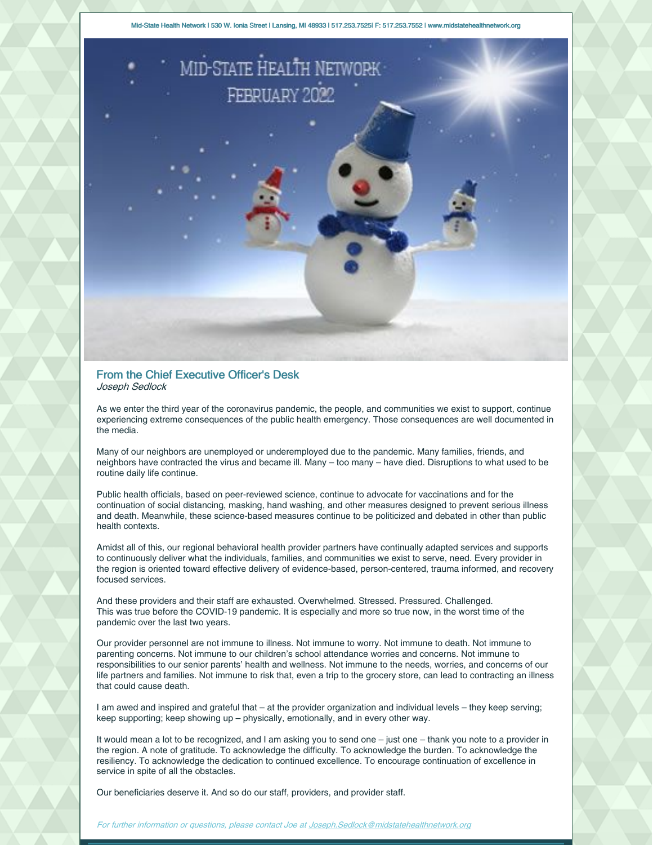Mid-State Health Network | 530 W. Ionia Street | Lansing, MI 48933 | 517.253.7525| F: 517.253.7552 | www.midstatehealthnetwork.org



### From the Chief Executive Officer's Desk Joseph Sedlock

As we enter the third year of the coronavirus pandemic, the people, and communities we exist to support, continue experiencing extreme consequences of the public health emergency. Those consequences are well documented in the media.

Many of our neighbors are unemployed or underemployed due to the pandemic. Many families, friends, and neighbors have contracted the virus and became ill. Many – too many – have died. Disruptions to what used to be routine daily life continue.

Public health officials, based on peer-reviewed science, continue to advocate for vaccinations and for the continuation of social distancing, masking, hand washing, and other measures designed to prevent serious illness and death. Meanwhile, these science-based measures continue to be politicized and debated in other than public health contexts.

Amidst all of this, our regional behavioral health provider partners have continually adapted services and supports to continuously deliver what the individuals, families, and communities we exist to serve, need. Every provider in the region is oriented toward effective delivery of evidence-based, person-centered, trauma informed, and recovery focused services.

And these providers and their staff are exhausted. Overwhelmed. Stressed. Pressured. Challenged. This was true before the COVID-19 pandemic. It is especially and more so true now, in the worst time of the pandemic over the last two years.

Our provider personnel are not immune to illness. Not immune to worry. Not immune to death. Not immune to parenting concerns. Not immune to our children's school attendance worries and concerns. Not immune to responsibilities to our senior parents' health and wellness. Not immune to the needs, worries, and concerns of our life partners and families. Not immune to risk that, even a trip to the grocery store, can lead to contracting an illness that could cause death.

I am awed and inspired and grateful that – at the provider organization and individual levels – they keep serving; keep supporting; keep showing up – physically, emotionally, and in every other way.

It would mean a lot to be recognized, and I am asking you to send one – just one – thank you note to a provider in the region. A note of gratitude. To acknowledge the difficulty. To acknowledge the burden. To acknowledge the resiliency. To acknowledge the dedication to continued excellence. To encourage continuation of excellence in service in spite of all the obstacles.

Our beneficiaries deserve it. And so do our staff, providers, and provider staff.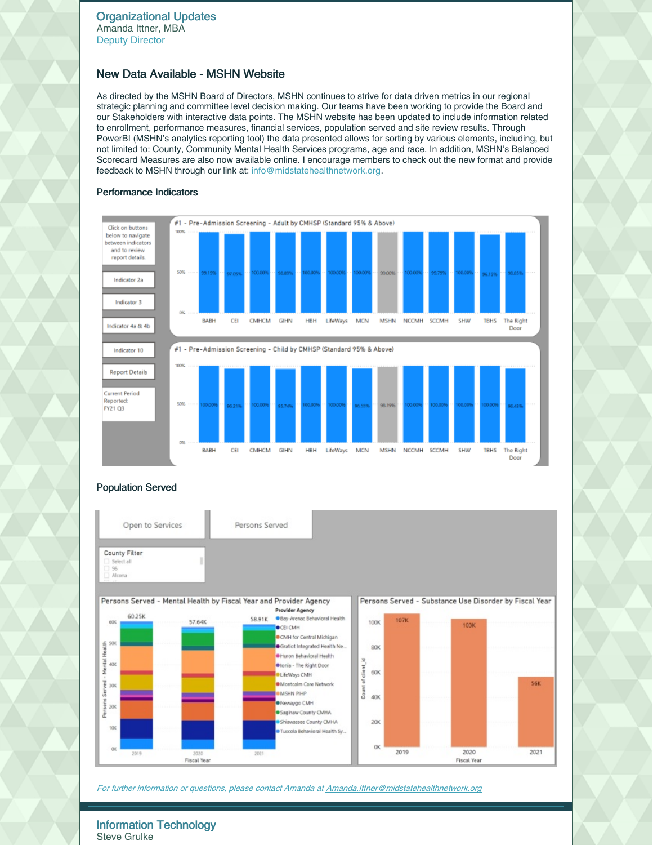# New Data Available - MSHN Website

As directed by the MSHN Board of Directors, MSHN continues to strive for data driven metrics in our regional strategic planning and committee level decision making. Our teams have been working to provide the Board and our Stakeholders with interactive data points. The MSHN website has been updated to include information related to enrollment, performance measures, financial services, population served and site review results. Through PowerBI (MSHN's analytics reporting tool) the data presented allows for sorting by various elements, including, but not limited to: County, Community Mental Health Services programs, age and race. In addition, MSHN's Balanced Scorecard Measures are also now available online. I encourage members to check out the new format and provide feedback to MSHN through our link at: [info@midstatehealthnetwork.org](mailto:info@midstatehealthnetwork.org).

## Performance Indicators



# Population Served





For further information or questions, please contact Amanda at [Amanda.Ittner@midstatehealthnetwork.org](mailto:amanda.ittner@midstatehealthnetwork.org)

Information Technology Steve Grulke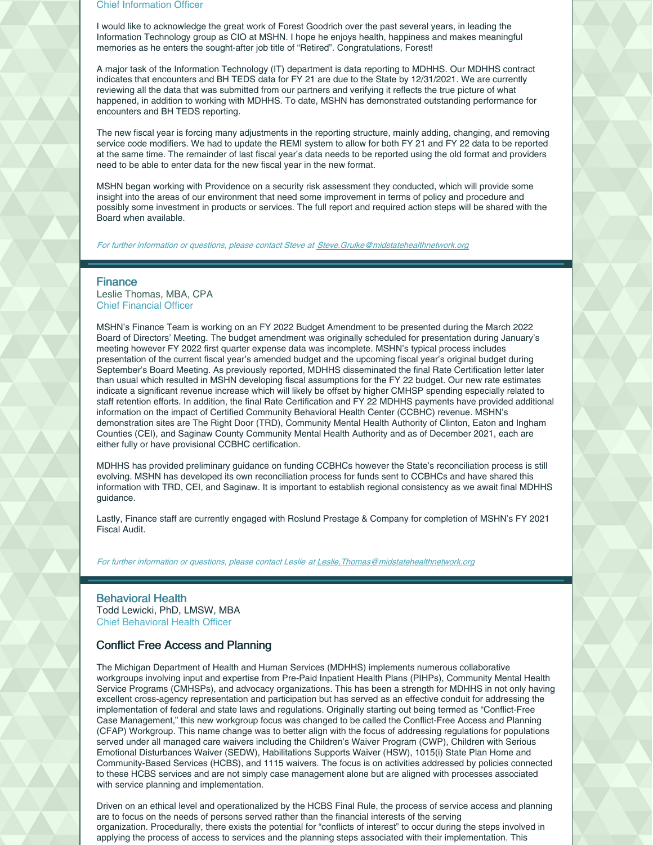#### Chief Information Officer

I would like to acknowledge the great work of Forest Goodrich over the past several years, in leading the Information Technology group as CIO at MSHN. I hope he enjoys health, happiness and makes meaningful memories as he enters the sought-after job title of "Retired". Congratulations, Forest!

A major task of the Information Technology (IT) department is data reporting to MDHHS. Our MDHHS contract indicates that encounters and BH TEDS data for FY 21 are due to the State by 12/31/2021. We are currently reviewing all the data that was submitted from our partners and verifying it reflects the true picture of what happened, in addition to working with MDHHS. To date, MSHN has demonstrated outstanding performance for encounters and BH TEDS reporting.

The new fiscal year is forcing many adjustments in the reporting structure, mainly adding, changing, and removing service code modifiers. We had to update the REMI system to allow for both FY 21 and FY 22 data to be reported at the same time. The remainder of last fiscal year's data needs to be reported using the old format and providers need to be able to enter data for the new fiscal year in the new format.

MSHN began working with Providence on a security risk assessment they conducted, which will provide some insight into the areas of our environment that need some improvement in terms of policy and procedure and possibly some investment in products or services. The full report and required action steps will be shared with the Board when available.

For further information or questions, please contact Steve at [Steve.Grulke@midstatehealthnetwork.org](mailto:steve.grulke@midstatehealthnetwork.org)

### **Finance**

Leslie Thomas, MBA, CPA Chief Financial Officer

MSHN's Finance Team is working on an FY 2022 Budget Amendment to be presented during the March 2022 Board of Directors' Meeting. The budget amendment was originally scheduled for presentation during January's meeting however FY 2022 first quarter expense data was incomplete. MSHN's typical process includes presentation of the current fiscal year's amended budget and the upcoming fiscal year's original budget during September's Board Meeting. As previously reported, MDHHS disseminated the final Rate Certification letter later than usual which resulted in MSHN developing fiscal assumptions for the FY 22 budget. Our new rate estimates indicate a significant revenue increase which will likely be offset by higher CMHSP spending especially related to staff retention efforts. In addition, the final Rate Certification and FY 22 MDHHS payments have provided additional information on the impact of Certified Community Behavioral Health Center (CCBHC) revenue. MSHN's demonstration sites are The Right Door (TRD), Community Mental Health Authority of Clinton, Eaton and Ingham Counties (CEI), and Saginaw County Community Mental Health Authority and as of December 2021, each are either fully or have provisional CCBHC certification.

MDHHS has provided preliminary guidance on funding CCBHCs however the State's reconciliation process is still evolving. MSHN has developed its own reconciliation process for funds sent to CCBHCs and have shared this information with TRD, CEI, and Saginaw. It is important to establish regional consistency as we await final MDHHS guidance.

Lastly, Finance staff are currently engaged with Roslund Prestage & Company for completion of MSHN's FY 2021 Fiscal Audit.

For further information or questions, please contact Leslie at Leslie. Thomas@midstatehealthnetwork.org

### Behavioral Health Todd Lewicki, PhD, LMSW, MBA Chief Behavioral Health Officer

### Conflict Free Access and Planning

The Michigan Department of Health and Human Services (MDHHS) implements numerous collaborative workgroups involving input and expertise from Pre-Paid Inpatient Health Plans (PIHPs), Community Mental Health Service Programs (CMHSPs), and advocacy organizations. This has been a strength for MDHHS in not only having excellent cross-agency representation and participation but has served as an effective conduit for addressing the implementation of federal and state laws and regulations. Originally starting out being termed as "Conflict-Free Case Management," this new workgroup focus was changed to be called the Conflict-Free Access and Planning (CFAP) Workgroup. This name change was to better align with the focus of addressing regulations for populations served under all managed care waivers including the Children's Waiver Program (CWP), Children with Serious Emotional Disturbances Waiver (SEDW), Habilitations Supports Waiver (HSW), 1015(i) State Plan Home and Community-Based Services (HCBS), and 1115 waivers. The focus is on activities addressed by policies connected to these HCBS services and are not simply case management alone but are aligned with processes associated with service planning and implementation.

Driven on an ethical level and operationalized by the HCBS Final Rule, the process of service access and planning are to focus on the needs of persons served rather than the financial interests of the serving organization. Procedurally, there exists the potential for "conflicts of interest" to occur during the steps involved in applying the process of access to services and the planning steps associated with their implementation. This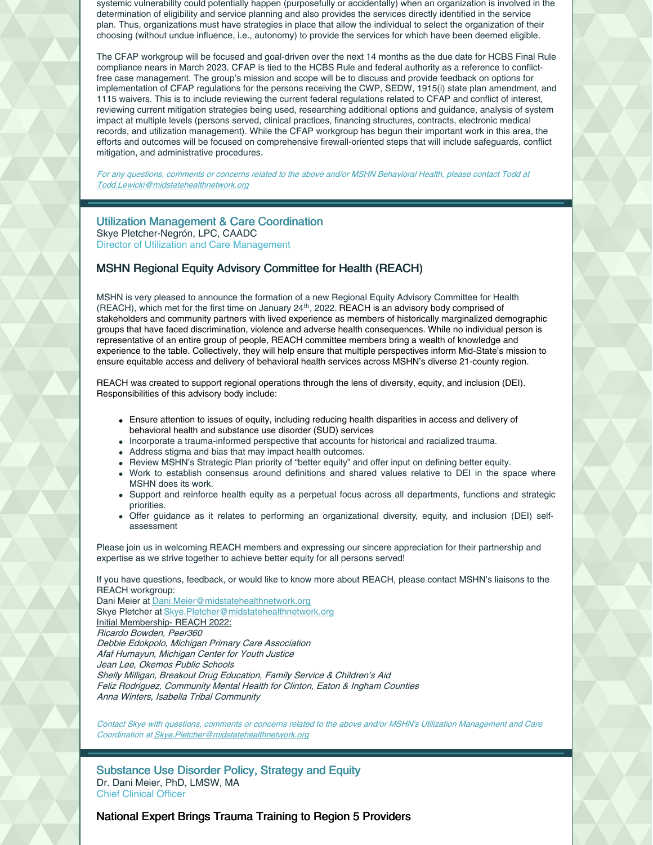systemic vulnerability could potentially happen (purposefully or accidentally) when an organization is involved in the determination of eligibility and service planning and also provides the services directly identified in the service plan. Thus, organizations must have strategies in place that allow the individual to select the organization of their choosing (without undue influence, i.e., autonomy) to provide the services for which have been deemed eligible.

The CFAP workgroup will be focused and goal-driven over the next 14 months as the due date for HCBS Final Rule compliance nears in March 2023. CFAP is tied to the HCBS Rule and federal authority as a reference to conflictfree case management. The group's mission and scope will be to discuss and provide feedback on options for implementation of CFAP regulations for the persons receiving the CWP, SEDW, 1915(i) state plan amendment, and 1115 waivers. This is to include reviewing the current federal regulations related to CFAP and conflict of interest, reviewing current mitigation strategies being used, researching additional options and guidance, analysis of system impact at multiple levels (persons served, clinical practices, financing structures, contracts, electronic medical records, and utilization management). While the CFAP workgroup has begun their important work in this area, the efforts and outcomes will be focused on comprehensive firewall-oriented steps that will include safeguards, conflict mitigation, and administrative procedures.

For any questions, comments or concerns related to the above and/or MSHN Behavioral Health, please contact Todd at [Todd.Lewicki@midstatehealthnetwork.org](mailto:Todd.Lewicki@midstatehealthnetwork.org)

### Utilization Management & Care Coordination Skye Pletcher-Negrón, LPC, CAADC Director of Utilization and Care Management

## MSHN Regional Equity Advisory Committee for Health (REACH)

MSHN is very pleased to announce the formation of a new Regional Equity Advisory Committee for Health (REACH), which met for the first time on January 24<sup>th</sup>, 2022. REACH is an advisory body comprised of stakeholders and community partners with lived experience as members of historically marginalized demographic groups that have faced discrimination, violence and adverse health consequences. While no individual person is representative of an entire group of people, REACH committee members bring a wealth of knowledge and experience to the table. Collectively, they will help ensure that multiple perspectives inform Mid-State's mission to ensure equitable access and delivery of behavioral health services across MSHN's diverse 21-county region.

REACH was created to support regional operations through the lens of diversity, equity, and inclusion (DEI). Responsibilities of this advisory body include:

- Ensure attention to issues of equity, including reducing health disparities in access and delivery of behavioral health and substance use disorder (SUD) services
- Incorporate a trauma-informed perspective that accounts for historical and racialized trauma.
- Address stigma and bias that may impact health outcomes.
- Review MSHN's Strategic Plan priority of "better equity" and offer input on defining better equity.
- Work to establish consensus around definitions and shared values relative to DEI in the space where MSHN does its work.
- Support and reinforce health equity as a perpetual focus across all departments, functions and strategic priorities.
- Offer guidance as it relates to performing an organizational diversity, equity, and inclusion (DEI) selfassessment

Please join us in welcoming REACH members and expressing our sincere appreciation for their partnership and expertise as we strive together to achieve better equity for all persons served!

If you have questions, feedback, or would like to know more about REACH, please contact MSHN's liaisons to the REACH workgroup:

Dani Meier at **[Dani.Meier@midstatehealthnetwork.org](mailto:Dani.Meier@midstatehealthnetwork.org)** Skye Pletcher at [Skye.Pletcher@midstatehealthnetwork.org](mailto:Skye.Pletcher@midstatehealthnetwork.org) Initial Membership- REACH 2022: Ricardo Bowden, Peer360 Debbie Edokpolo, Michigan Primary Care Association Afaf Humayun, Michigan Center for Youth Justice Jean Lee, Okemos Public Schools Shelly Milligan, Breakout Drug Education, Family Service & Children's Aid Feliz Rodriguez, Community Mental Health for Clinton, Eaton & Ingham Counties Anna Winters, Isabella Tribal Community

Contact Skye with questions, comments or concerns related to the above and/or MSHN's Utilization Management and Care Coordination at [Skye.Pletcher@midstatehealthnetwork.org](mailto:Skye.Pletcher@midstatehealthnetwork.org)

Substance Use Disorder Policy, Strategy and Equity Dr. Dani Meier, PhD, LMSW, MA Chief Clinical Officer

## National Expert Brings Trauma Training to Region 5 Providers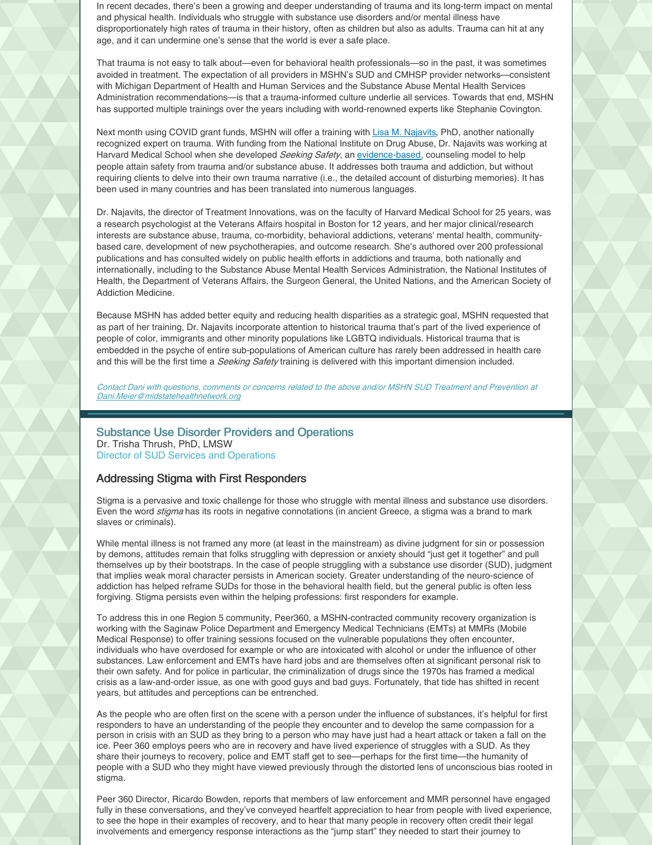In recent decades, there's been a growing and deeper understanding of trauma and its long-term impact on mental and physical health. Individuals who struggle with substance use disorders and/or mental illness have disproportionately high rates of trauma in their history, often as children but also as adults. Trauma can hit at any age, and it can undermine one's sense that the world is ever a safe place.

That trauma is not easy to talk about—even for behavioral health professionals—so in the past, it was sometimes avoided in treatment. The expectation of all providers in MSHN's SUD and CMHSP provider networks—consistent with Michigan Department of Health and Human Services and the Substance Abuse Mental Health Services Administration recommendations—is that a trauma-informed culture underlie all services. Towards that end, MSHN has supported multiple trainings over the years including with world-renowned experts like Stephanie Covington.

Next month using COVID grant funds, MSHN will offer a training with Lisa M. [Najavits](https://nam11.safelinks.protection.outlook.com/?url=https%3A%2F%2Fwww.treatment-innovations.org%2Flisa-najavits.html&data=04%7C01%7C%7Ce9669c56a1384638d0cf08d9e4c63ba2%7C843a070b9fc1420ea2dee05952409d46%7C0%7C0%7C637792362336296830%7CUnknown%7CTWFpbGZsb3d8eyJWIjoiMC4wLjAwMDAiLCJQIjoiV2luMzIiLCJBTiI6Ik1haWwiLCJXVCI6Mn0%3D%7C3000&sdata=yzDIA0WRoQRKKURucFmU9qvbyawx4YRXZUDQybq%2BrGs%3D&reserved=0), PhD, another nationally recognized expert on trauma. With funding from the National Institute on Drug Abuse, Dr. Najavits was working at Harvard Medical School when she developed Seeking Safety, an [evidence-based](https://nam11.safelinks.protection.outlook.com/?url=https%3A%2F%2Fwww.treatment-innovations.org%2Fevid-summary-ss.html&data=04%7C01%7C%7Ce9669c56a1384638d0cf08d9e4c63ba2%7C843a070b9fc1420ea2dee05952409d46%7C0%7C0%7C637792362336296830%7CUnknown%7CTWFpbGZsb3d8eyJWIjoiMC4wLjAwMDAiLCJQIjoiV2luMzIiLCJBTiI6Ik1haWwiLCJXVCI6Mn0%3D%7C3000&sdata=EkbJobqsz3eWcbbE%2BwHQtNThWMTUUR7xM6U%2FIsXpc8g%3D&reserved=0), counseling model to help people attain safety from trauma and/or substance abuse. It addresses both trauma and addiction, but without requiring clients to delve into their own trauma narrative (i.e., the detailed account of disturbing memories). It has been used in many countries and has been translated into numerous languages.

Dr. Najavits, the director of Treatment Innovations, was on the faculty of Harvard Medical School for 25 years, was a research psychologist at the Veterans Affairs hospital in Boston for 12 years, and her major clinical/research interests are substance abuse, trauma, co-morbidity, behavioral addictions, veterans' mental health, communitybased care, development of new psychotherapies, and outcome research. She's authored over 200 professional publications and has consulted widely on public health efforts in addictions and trauma, both nationally and internationally, including to the Substance Abuse Mental Health Services Administration, the National Institutes of Health, the Department of Veterans Affairs, the Surgeon General, the United Nations, and the American Society of Addiction Medicine.

Because MSHN has added better equity and reducing health disparities as a strategic goal, MSHN requested that as part of her training, Dr. Najavits incorporate attention to historical trauma that's part of the lived experience of people of color, immigrants and other minority populations like LGBTQ individuals. Historical trauma that is embedded in the psyche of entire sub-populations of American culture has rarely been addressed in health care and this will be the first time a *Seeking Safety* training is delivered with this important dimension included.

Contact Dani with questions, comments or concerns related to the above and/or MSHN SUD Treatment and Prevention at [Dani.Meier@midstatehealthnetwork.org](mailto:Dani.Meier@midstatehealthnetwork.org)

Substance Use Disorder Providers and Operations Dr. Trisha Thrush, PhD, LMSW Director of SUD Services and Operations

### Addressing Stigma with First Responders

Stigma is a pervasive and toxic challenge for those who struggle with mental illness and substance use disorders. Even the word *stigma* has its roots in negative connotations (in ancient Greece, a stigma was a brand to mark slaves or criminals).

While mental illness is not framed any more (at least in the mainstream) as divine judgment for sin or possession by demons, attitudes remain that folks struggling with depression or anxiety should "just get it together" and pull themselves up by their bootstraps. In the case of people struggling with a substance use disorder (SUD), judgment that implies weak moral character persists in American society. Greater understanding of the neuro-science of addiction has helped reframe SUDs for those in the behavioral health field, but the general public is often less forgiving. Stigma persists even within the helping professions: first responders for example.

To address this in one Region 5 community, Peer360, a MSHN-contracted community recovery organization is working with the Saginaw Police Department and Emergency Medical Technicians (EMTs) at MMRs (Mobile Medical Response) to offer training sessions focused on the vulnerable populations they often encounter, individuals who have overdosed for example or who are intoxicated with alcohol or under the influence of other substances. Law enforcement and EMTs have hard jobs and are themselves often at significant personal risk to their own safety. And for police in particular, the criminalization of drugs since the 1970s has framed a medical crisis as a law-and-order issue, as one with good guys and bad guys. Fortunately, that tide has shifted in recent years, but attitudes and perceptions can be entrenched.

As the people who are often first on the scene with a person under the influence of substances, it's helpful for first responders to have an understanding of the people they encounter and to develop the same compassion for a person in crisis with an SUD as they bring to a person who may have just had a heart attack or taken a fall on the ice. Peer 360 employs peers who are in recovery and have lived experience of struggles with a SUD. As they share their journeys to recovery, police and EMT staff get to see—perhaps for the first time—the humanity of people with a SUD who they might have viewed previously through the distorted lens of unconscious bias rooted in stigma.

Peer 360 Director, Ricardo Bowden, reports that members of law enforcement and MMR personnel have engaged fully in these conversations, and they've conveyed heartfelt appreciation to hear from people with lived experience, to see the hope in their examples of recovery, and to hear that many people in recovery often credit their legal involvements and emergency response interactions as the "jump start" they needed to start their journey to